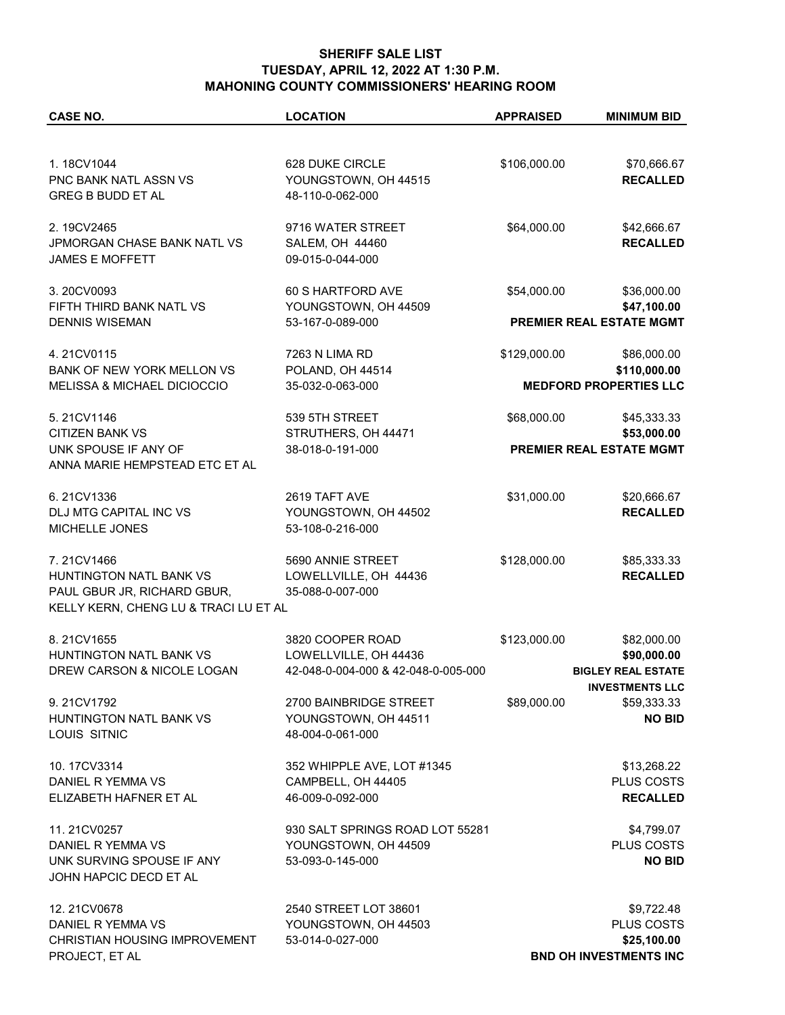## **SHERIFF SALE LIST TUESDAY, APRIL 12, 2022 AT 1:30 P.M. MAHONING COUNTY COMMISSIONERS' HEARING ROOM**

| <b>CASE NO.</b>                        | <b>LOCATION</b>                               | <b>APPRAISED</b> | <b>MINIMUM BID</b>                      |
|----------------------------------------|-----------------------------------------------|------------------|-----------------------------------------|
|                                        |                                               |                  |                                         |
| 1.18CV1044                             | 628 DUKE CIRCLE                               | \$106,000.00     | \$70,666.67                             |
| PNC BANK NATL ASSN VS                  | YOUNGSTOWN, OH 44515                          |                  | <b>RECALLED</b>                         |
| <b>GREG B BUDD ET AL</b>               | 48-110-0-062-000                              |                  |                                         |
|                                        |                                               |                  |                                         |
| 2.19CV2465                             | 9716 WATER STREET                             | \$64,000.00      | \$42,666.67                             |
| JPMORGAN CHASE BANK NATL VS            | <b>SALEM, OH 44460</b>                        |                  | <b>RECALLED</b>                         |
| <b>JAMES E MOFFETT</b>                 | 09-015-0-044-000                              |                  |                                         |
|                                        |                                               | \$54,000.00      |                                         |
| 3.20CV0093<br>FIFTH THIRD BANK NATL VS | 60 S HARTFORD AVE                             |                  | \$36,000.00                             |
| <b>DENNIS WISEMAN</b>                  | YOUNGSTOWN, OH 44509<br>53-167-0-089-000      |                  | \$47,100.00<br>PREMIER REAL ESTATE MGMT |
|                                        |                                               |                  |                                         |
| 4.21CV0115                             | 7263 N LIMA RD                                | \$129,000.00     | \$86,000.00                             |
| BANK OF NEW YORK MELLON VS             | POLAND, OH 44514                              |                  | \$110,000.00                            |
| <b>MELISSA &amp; MICHAEL DICIOCCIO</b> | 35-032-0-063-000                              |                  | <b>MEDFORD PROPERTIES LLC</b>           |
|                                        |                                               |                  |                                         |
| 5.21CV1146                             | 539 5TH STREET                                | \$68,000.00      | \$45,333.33                             |
| <b>CITIZEN BANK VS</b>                 | STRUTHERS, OH 44471                           |                  | \$53,000.00                             |
| UNK SPOUSE IF ANY OF                   | 38-018-0-191-000                              |                  | <b>PREMIER REAL ESTATE MGMT</b>         |
| ANNA MARIE HEMPSTEAD ETC ET AL         |                                               |                  |                                         |
| 6.21CV1336                             | 2619 TAFT AVE                                 | \$31,000.00      | \$20,666.67                             |
| DLJ MTG CAPITAL INC VS                 | YOUNGSTOWN, OH 44502                          |                  | <b>RECALLED</b>                         |
| MICHELLE JONES                         | 53-108-0-216-000                              |                  |                                         |
|                                        |                                               |                  |                                         |
| 7.21CV1466                             | 5690 ANNIE STREET                             | \$128,000.00     | \$85,333.33                             |
| HUNTINGTON NATL BANK VS                | LOWELLVILLE, OH 44436                         |                  | <b>RECALLED</b>                         |
| PAUL GBUR JR, RICHARD GBUR,            | 35-088-0-007-000                              |                  |                                         |
| KELLY KERN, CHENG LU & TRACI LU ET AL  |                                               |                  |                                         |
| 8.21CV1655                             | 3820 COOPER ROAD                              | \$123,000.00     | \$82,000.00                             |
| HUNTINGTON NATL BANK VS                | LOWELLVILLE, OH 44436                         |                  | \$90,000.00                             |
| DREW CARSON & NICOLE LOGAN             | 42-048-0-004-000 & 42-048-0-005-000           |                  | <b>BIGLEY REAL ESTATE</b>               |
|                                        |                                               |                  | <b>INVESTMENTS LLC</b>                  |
| 9.21CV1792                             | 2700 BAINBRIDGE STREET                        | \$89,000.00      | \$59,333.33                             |
| HUNTINGTON NATL BANK VS                | YOUNGSTOWN, OH 44511                          |                  | <b>NO BID</b>                           |
| LOUIS SITNIC                           | 48-004-0-061-000                              |                  |                                         |
|                                        |                                               |                  |                                         |
| 10.17CV3314                            | 352 WHIPPLE AVE, LOT #1345                    |                  | \$13,268.22                             |
| DANIEL R YEMMA VS                      | CAMPBELL, OH 44405                            |                  | <b>PLUS COSTS</b>                       |
| ELIZABETH HAFNER ET AL                 | 46-009-0-092-000                              |                  | <b>RECALLED</b>                         |
| 11.21CV0257                            | 930 SALT SPRINGS ROAD LOT 55281               |                  | \$4,799.07                              |
| DANIEL R YEMMA VS                      | YOUNGSTOWN, OH 44509                          |                  | PLUS COSTS                              |
| UNK SURVING SPOUSE IF ANY              | 53-093-0-145-000                              |                  | <b>NO BID</b>                           |
| JOHN HAPCIC DECD ET AL                 |                                               |                  |                                         |
|                                        |                                               |                  |                                         |
| 12.21CV0678<br>DANIEL R YEMMA VS       | 2540 STREET LOT 38601<br>YOUNGSTOWN, OH 44503 |                  | \$9,722.48<br>PLUS COSTS                |
| CHRISTIAN HOUSING IMPROVEMENT          | 53-014-0-027-000                              |                  | \$25,100.00                             |
| PROJECT, ET AL                         |                                               |                  | <b>BND OH INVESTMENTS INC</b>           |
|                                        |                                               |                  |                                         |